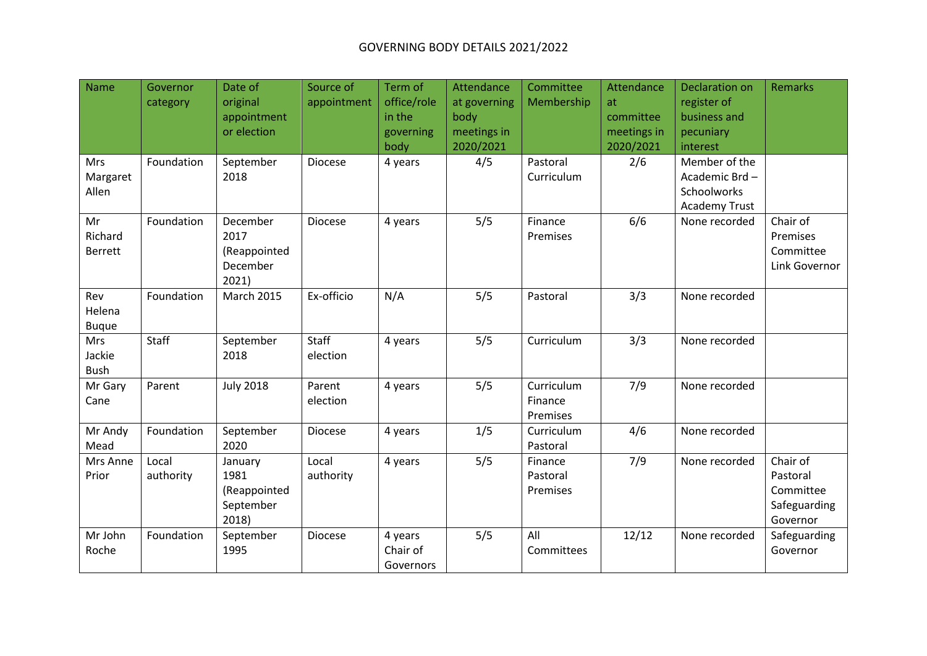## GOVERNING BODY DETAILS 2021/2022

| Name<br>Mrs<br>Margaret<br>Allen | Governor<br>category<br>Foundation | Date of<br>original<br>appointment<br>or election<br>September<br>2018 | Source of<br>appointment<br><b>Diocese</b> | Term of<br>office/role<br>in the<br>governing<br>body<br>4 years | Attendance<br>at governing<br>body<br>meetings in<br>2020/2021<br>4/5 | Committee<br>Membership<br>Pastoral<br>Curriculum | Attendance<br>at<br>committee<br>meetings in<br>2020/2021<br>2/6 | Declaration on<br>register of<br>business and<br>pecuniary<br>interest<br>Member of the<br>Academic Brd-<br>Schoolworks<br><b>Academy Trust</b> | <b>Remarks</b>                                                |
|----------------------------------|------------------------------------|------------------------------------------------------------------------|--------------------------------------------|------------------------------------------------------------------|-----------------------------------------------------------------------|---------------------------------------------------|------------------------------------------------------------------|-------------------------------------------------------------------------------------------------------------------------------------------------|---------------------------------------------------------------|
| Mr<br>Richard<br><b>Berrett</b>  | Foundation                         | December<br>2017<br>(Reappointed<br>December<br>2021)                  | Diocese                                    | 4 years                                                          | 5/5                                                                   | Finance<br>Premises                               | 6/6                                                              | None recorded                                                                                                                                   | Chair of<br>Premises<br>Committee<br>Link Governor            |
| Rev<br>Helena<br><b>Buque</b>    | Foundation                         | <b>March 2015</b>                                                      | Ex-officio                                 | N/A                                                              | 5/5                                                                   | Pastoral                                          | 3/3                                                              | None recorded                                                                                                                                   |                                                               |
| Mrs<br>Jackie<br><b>Bush</b>     | Staff                              | September<br>2018                                                      | Staff<br>election                          | 4 years                                                          | 5/5                                                                   | Curriculum                                        | 3/3                                                              | None recorded                                                                                                                                   |                                                               |
| Mr Gary<br>Cane                  | Parent                             | <b>July 2018</b>                                                       | Parent<br>election                         | 4 years                                                          | 5/5                                                                   | Curriculum<br>Finance<br>Premises                 | 7/9                                                              | None recorded                                                                                                                                   |                                                               |
| Mr Andy<br>Mead                  | Foundation                         | September<br>2020                                                      | <b>Diocese</b>                             | 4 years                                                          | 1/5                                                                   | Curriculum<br>Pastoral                            | 4/6                                                              | None recorded                                                                                                                                   |                                                               |
| Mrs Anne<br>Prior                | Local<br>authority                 | January<br>1981<br>(Reappointed<br>September<br>2018)                  | Local<br>authority                         | 4 years                                                          | 5/5                                                                   | Finance<br>Pastoral<br>Premises                   | 7/9                                                              | None recorded                                                                                                                                   | Chair of<br>Pastoral<br>Committee<br>Safeguarding<br>Governor |
| Mr John<br>Roche                 | Foundation                         | September<br>1995                                                      | Diocese                                    | 4 years<br>Chair of<br>Governors                                 | 5/5                                                                   | All<br>Committees                                 | 12/12                                                            | None recorded                                                                                                                                   | Safeguarding<br>Governor                                      |